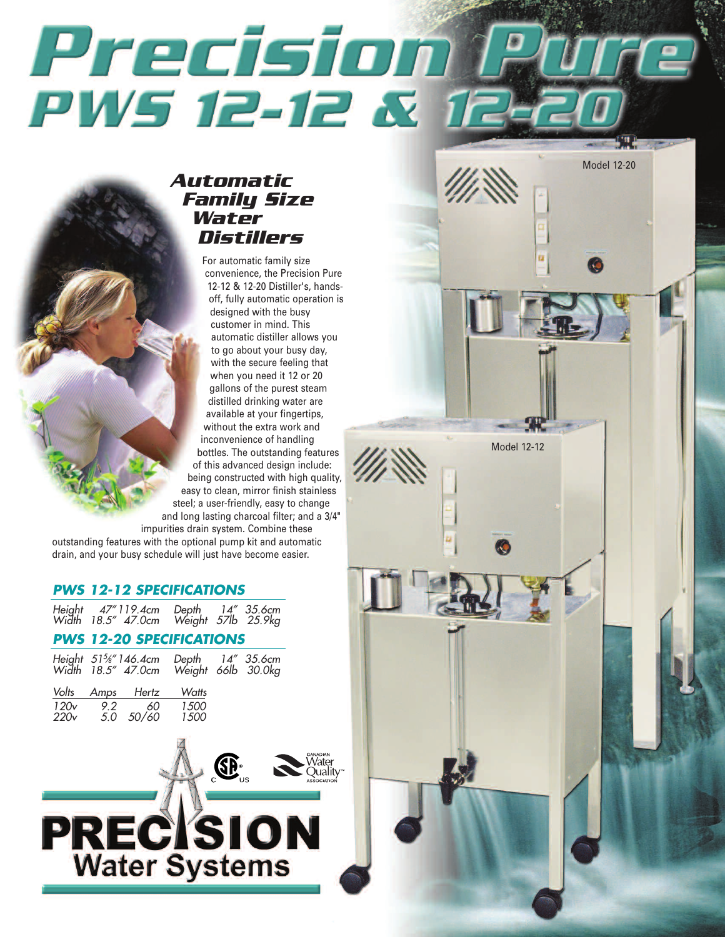# Precision **PWS 12-12 &**

Model 12-12

Model 12-20

# **A u toma tic Family Size Wa ter Dis tillers**

For automatic family size convenience, the Precision Pure 12-12 & 12-20 Distiller's, handsoff, fully automatic operation is designed with the busy customer in mind. This automatic distiller allows you to go about your busy day, with the secure feeling that when you need it 12 or 20 gallons of the purest steam distilled drinking water are available at your fingertips, without the extra work and inconvenience of handling bottles. The outstanding features of this advanced design include: being constructed with high quality, easy to clean, mirror finish stainless steel; a user-friendly, easy to change and long lasting charcoal filter; and a 3/4" impurities drain system. Combine these

outstanding features with the optional pump kit and automatic drain, and your busy schedule will just have become easier.

## *P WS 1 2 - 1 2 S PE C I FI CA TIONS*

| Height 47"119.4cm Depth 14" 35.6cm<br>Width 18.5" 47.0cm Weight 57lb 25.9kg |  |  |
|-----------------------------------------------------------------------------|--|--|
|                                                                             |  |  |

## *P WS 1 2 - 20 S PE C I FI CA TIONS*

|      |     |                                               | Height 51%"146.4cm Depth 14" 35.6cm<br>Width 18.5" 47.0cm Weight 66lb 30.0kg |  |
|------|-----|-----------------------------------------------|------------------------------------------------------------------------------|--|
| 120v | 9.2 | Volts Amps Hertz<br>60<br>220v 5.0 50/60 1500 | Watts<br><i>1500</i>                                                         |  |